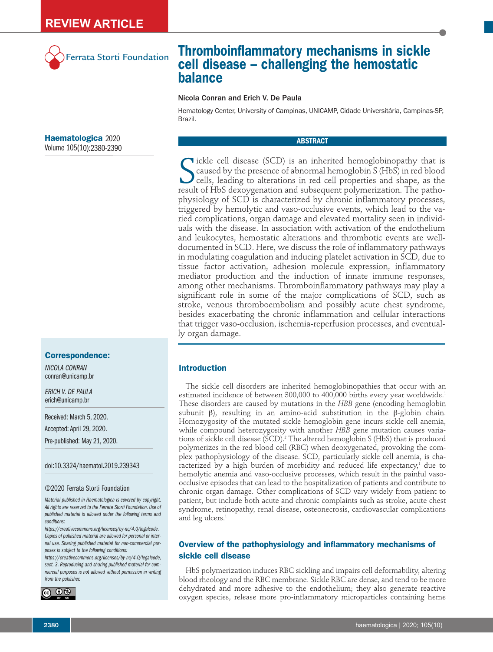

Ferrata Storti Foundation

# **Thromboinflammatory mechanisms in sickle cell disease – challenging the hemostatic balance**

# Nicola Conran and Erich V. De Paula

Hematology Center, University of Campinas, UNICAMP, Cidade Universitária, Campinas-SP, Brazil.

# **ABSTRACT**

Sickle cell disease (SCD) is an inherited hemoglobinopathy that is caused by the presence of abnormal hemoglobin S (HbS) in red blood cells, leading to alterations in red cell properties and shape, as the result of HbS dex **v**ickle cell disease (SCD) is an inherited hemoglobinopathy that is caused by the presence of abnormal hemoglobin S (HbS) in red blood cells, leading to alterations in red cell properties and shape, as the physiology of SCD is characterized by chronic inflammatory processes, triggered by hemolytic and vaso-occlusive events, which lead to the varied complications, organ damage and elevated mortality seen in individuals with the disease. In association with activation of the endothelium and leukocytes, hemostatic alterations and thrombotic events are welldocumented in SCD. Here, we discuss the role of inflammatory pathways in modulating coagulation and inducing platelet activation in SCD, due to tissue factor activation, adhesion molecule expression, inflammatory mediator production and the induction of innate immune responses, among other mechanisms. Thromboinflammatory pathways may play a significant role in some of the major complications of SCD, such as stroke, venous thromboembolism and possibly acute chest syndrome, besides exacerbating the chronic inflammation and cellular interactions that trigger vaso-occlusion, ischemia-reperfusion processes, and eventually organ damage.

# **Introduction**

The sickle cell disorders are inherited hemoglobinopathies that occur with an estimated incidence of between 300,000 to 400,000 births every year worldwide.<sup>1</sup> These disorders are caused by mutations in the *HBB* gene (encoding hemoglobin subunit β), resulting in an amino-acid substitution in the β-globin chain. Homozygosity of the mutated sickle hemoglobin gene incurs sickle cell anemia, while compound heterozygosity with another *HBB* gene mutation causes variations of sickle cell disease (SCD).<sup>2</sup> The altered hemoglobin S (HbS) that is produced polymerizes in the red blood cell (RBC) when deoxygenated, provoking the complex pathophysiology of the disease. SCD, particularly sickle cell anemia, is characterized by a high burden of morbidity and reduced life expectancy,<sup>1</sup> due to hemolytic anemia and vaso-occlusive processes, which result in the painful vasoocclusive episodes that can lead to the hospitalization of patients and contribute to chronic organ damage. Other complications of SCD vary widely from patient to patient, but include both acute and chronic complaints such as stroke, acute chest syndrome, retinopathy, renal disease, osteonecrosis, cardiovascular complications and leg ulcers.<sup>1</sup>

# **Overview of the pathophysiology and inflammatory mechanisms of sickle cell disease**

HbS polymerization induces RBC sickling and impairs cell deformability, altering blood rheology and the RBC membrane. Sickle RBC are dense, and tend to be more dehydrated and more adhesive to the endothelium; they also generate reactive oxygen species, release more pro-inflammatory microparticles containing heme

**Haematologica** 2020 Volume 105(10):2380-2390

### **Correspondence:**

*NICOLA CONRAN* conran@unicamp.br

*ERICH V. DE PAULA*  erich@unicamp.br

Received: March 5, 2020.

Accepted: April 29, 2020.

Pre-published: May 21, 2020.

doi:10.3324/haematol.2019.239343

#### ©2020 Ferrata Storti Foundation

*Material published in Haematologica is covered by copyright. All rights are reserved to the Ferrata Storti Foundation. Use of published material is allowed under the following terms and conditions:* 

*https://creativecommons.org/licenses/by-nc/4.0/legalcode. Copies of published material are allowed for personal or internal use. Sharing published material for non-commercial purposes is subject to the following conditions:* 

*https://creativecommons.org/licenses/by-nc/4.0/legalcode, sect. 3. Reproducing and sharing published material for commercial purposes is not allowed without permission in writing from the publisher.*

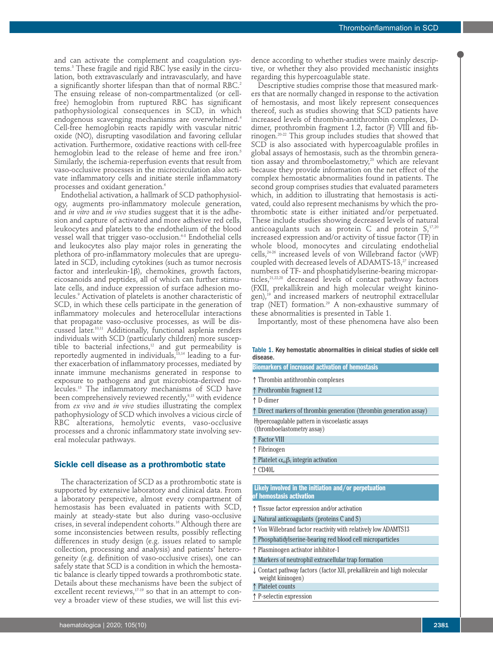and can activate the complement and coagulation systems.3 These fragile and rigid RBC lyse easily in the circulation, both extravascularly and intravascularly, and have a significantly shorter lifespan than that of normal RBC.<sup>2</sup> The ensuing release of non-compartmentalized (or cellfree) hemoglobin from ruptured RBC has significant pathophysiological consequences in SCD, in which endogenous scavenging mechanisms are overwhelmed.<sup>4</sup> Cell-free hemoglobin reacts rapidly with vascular nitric oxide (NO), disrupting vasodilation and favoring cellular activation. Furthermore, oxidative reactions with cell-free hemoglobin lead to the release of heme and free iron.<sup>5</sup> Similarly, the ischemia-reperfusion events that result from vaso-occlusive processes in the microcirculation also activate inflammatory cells and initiate sterile inflammatory processes and oxidant generation.<sup>6</sup>

Endothelial activation, a hallmark of SCD pathophysiology, augments pro-inflammatory molecule generation, and *in vitro* and *in vivo* studies suggest that it is the adhesion and capture of activated and more adhesive red cells, leukocytes and platelets to the endothelium of the blood vessel wall that trigger vaso-occlusion.<sup>6-8</sup> Endothelial cells and leukocytes also play major roles in generating the plethora of pro-inflammatory molecules that are upregulated in SCD, including cytokines (such as tumor necrosis factor and interleukin-1β), chemokines, growth factors, eicosanoids and peptides, all of which can further stimulate cells, and induce expression of surface adhesion molecules.9 Activation of platelets is another characteristic of SCD, in which these cells participate in the generation of inflammatory molecules and heterocellular interactions that propagate vaso-occlusive processes, as will be discussed later.10,11 Additionally, functional asplenia renders individuals with SCD (particularly children) more susceptible to bacterial infections, $12$  and gut permeability is reportedly augmented in individuals,<sup>13,14</sup> leading to a further exacerbation of inflammatory processes, mediated by innate immune mechanisms generated in response to exposure to pathogens and gut microbiota-derived molecules.13 The inflammatory mechanisms of SCD have been comprehensively reviewed recently,<sup>9,15</sup> with evidence from *ex vivo* and *in vivo* studies illustrating the complex pathophysiology of SCD which involves a vicious circle of RBC alterations, hemolytic events, vaso-occlusive processes and a chronic inflammatory state involving several molecular pathways.

#### **Sickle cell disease as a prothrombotic state**

The characterization of SCD as a prothrombotic state is supported by extensive laboratory and clinical data. From a laboratory perspective, almost every compartment of hemostasis has been evaluated in patients with SCD, mainly at steady-state but also during vaso-occlusive crises, in several independent cohorts.<sup>16</sup> Although there are some inconsistencies between results, possibly reflecting differences in study design (e.g. issues related to sample collection, processing and analysis) and patients' heterogeneity (e.g. definition of vaso-occlusive crises), one can safely state that SCD is a condition in which the hemostatic balance is clearly tipped towards a prothrombotic state. Details about these mechanisms have been the subject of excellent recent reviews,<sup>17-19</sup> so that in an attempt to convey a broader view of these studies, we will list this evidence according to whether studies were mainly descriptive, or whether they also provided mechanistic insights regarding this hypercoagulable state.

Descriptive studies comprise those that measured markers that are normally changed in response to the activation of hemostasis, and most likely represent consequences thereof, such as studies showing that SCD patients have increased levels of thrombin-antithrombin complexes, Ddimer, prothrombin fragment 1.2, factor (F) VIII and fibrinogen.20-22 This group includes studies that showed that SCD is also associated with hypercoagulable profiles in global assays of hemostasis, such as the thrombin generation assay and thromboelastometry,<sup>23</sup> which are relevant because they provide information on the net effect of the complex hemostatic abnormalities found in patients. The second group comprises studies that evaluated parameters which, in addition to illustrating that hemostasis is activated, could also represent mechanisms by which the prothrombotic state is either initiated and/or perpetuated. These include studies showing decreased levels of natural anticoagulants such as protein C and protein  $S<sub>1</sub><sup>17,20</sup>$ increased expression and/or activity of tissue factor (TF) in whole blood, monocytes and circulating endothelial cells,24-26 increased levels of von Willebrand factor (vWF) coupled with decreased levels of ADAMTS-13,<sup>27</sup> increased numbers of TF- and phosphatidylserine-bearing microparticles,<sup>21,22,28</sup> decreased levels of contact pathway factors (FXII, prekallikrein and high molecular weight kininogen),<sup>19</sup> and increased markers of neutrophil extracellular trap (NET) formation.<sup>29</sup> A non-exhaustive summary of these abnormalities is presented in Table 1.

Importantly, most of these phenomena have also been

#### Table 1. Key hemostatic abnormalities in clinical studies of sickle cell disease.

**Biomarkers of increased activation of hemostasis**

↑ Thrombin antithrombin complexes

↑ Prothrombin fragment 1.2

↑ D-dimer

↑ Direct markers of thrombin generation (thrombin generation assay)

Hypercoagulable pattern in viscoelastic assays

(thromboelastometry assay)

- ↑ Factor VIII
- ↑ Fibrinogen
- $\uparrow$  Platelet  $\alpha_{ab}\beta_3$  integrin activation

↑ CD40L

#### **Likely involved in the initiation and/or perpetuation of hemostasis activation**

- ↑ Tissue factor expression and/or activation
- ↓ Natural anticoagulants (proteins C and S)
- ↑ Von Willebrand factor reactivity with relatively low ADAMTS13
- ↑ Phosphatidylserine-bearing red blood cell microparticles
- ↑ Plasminogen activator inhibitor-1
- ↑ Markers of neutrophil extracellular trap formation
- ↓ Contact pathway factors (factor XII, prekallikrein and high molecular weight kininogen)
- Platelet counts
- ↑ P-selectin expression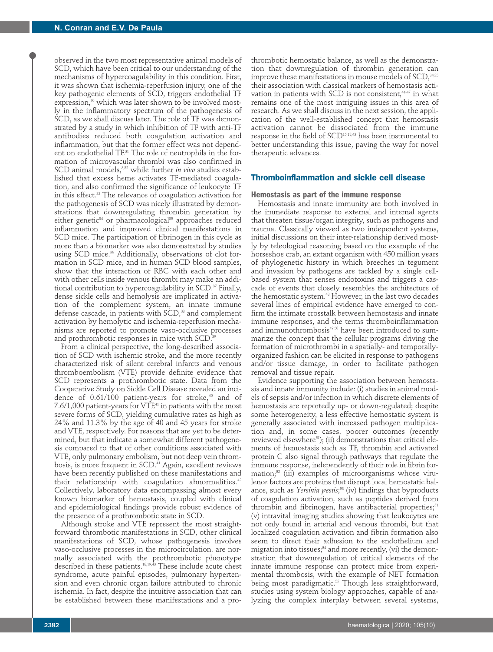observed in the two most representative animal models of SCD, which have been critical to our understanding of the mechanisms of hypercoagulability in this condition. First, it was shown that ischemia-reperfusion injury, one of the key pathogenic elements of SCD, triggers endothelial TF expression,<sup>30</sup> which was later shown to be involved mostly in the inflammatory spectrum of the pathogenesis of SCD, as we shall discuss later. The role of TF was demonstrated by a study in which inhibition of TF with anti-TF antibodies reduced both coagulation activation and inflammation, but that the former effect was not dependent on endothelial TF.<sup>31</sup> The role of neutrophils in the formation of microvascular thrombi was also confirmed in SCD animal models,<sup>8,32</sup> while further *in vivo* studies established that excess heme activates TF-mediated coagulation, and also confirmed the significance of leukocyte TF in this effect.<sup>33</sup> The relevance of coagulation activation for the pathogenesis of SCD was nicely illustrated by demonstrations that downregulating thrombin generation by either genetic<sup>34</sup> or pharmacological<sup>35</sup> approaches reduced inflammation and improved clinical manifestations in SCD mice. The participation of fibrinogen in this cycle as more than a biomarker was also demonstrated by studies using SCD mice.<sup>36</sup> Additionally, observations of clot formation in SCD mice, and in human SCD blood samples, show that the interaction of RBC with each other and with other cells inside venous thrombi may make an additional contribution to hypercoagulability in SCD.<sup>37</sup> Finally, dense sickle cells and hemolysis are implicated in activation of the complement system, an innate immune defense cascade, in patients with SCD,<sup>38</sup> and complement activation by hemolytic and ischemia-reperfusion mechanisms are reported to promote vaso-occlusive processes and prothrombotic responses in mice with SCD.<sup>3</sup>

From a clinical perspective, the long-described association of SCD with ischemic stroke, and the more recently characterized risk of silent cerebral infarcts and venous thromboembolism (VTE) provide definite evidence that SCD represents a prothrombotic state. Data from the Cooperative Study on Sickle Cell Disease revealed an incidence of  $0.61/100$  patient-years for stroke,<sup>40</sup> and of  $7.6/1,000$  patient-years for  $\nabla TE^{41}$  in patients with the most severe forms of SCD, yielding cumulative rates as high as 24% and 11.3% by the age of 40 and 45 years for stroke and VTE, respectively. For reasons that are yet to be determined, but that indicate a somewhat different pathogenesis compared to that of other conditions associated with VTE, only pulmonary embolism, but not deep vein thrombosis, is more frequent in SCD.<sup>41</sup> Again, excellent reviews have been recently published on these manifestations and their relationship with coagulation abnormalities.<sup>42</sup> Collectively, laboratory data encompassing almost every known biomarker of hemostasis, coupled with clinical and epidemiological findings provide robust evidence of the presence of a prothrombotic state in SCD.

Although stroke and VTE represent the most straightforward thrombotic manifestations in SCD, other clinical manifestations of SCD, whose pathogenesis involves vaso-occlusive processes in the microcirculation. are normally associated with the prothrombotic phenotype described in these patients.18,19,43 These include acute chest syndrome, acute painful episodes, pulmonary hypertension and even chronic organ failure attributed to chronic ischemia. In fact, despite the intuitive association that can be established between these manifestations and a prothrombotic hemostatic balance, as well as the demonstration that downregulation of thrombin generation can improve these manifestations in mouse models of SCD,<sup>34,35</sup> their association with classical markers of hemostasis activation in patients with SCD is not consistent,<sup>4447</sup> in what remains one of the most intriguing issues in this area of research. As we shall discuss in the next session, the application of the well-established concept that hemostasis activation cannot be dissociated from the immune response in the field of SCD15,18,43 has been instrumental to better understanding this issue, paving the way for novel therapeutic advances.

#### **Thromboinflammation and sickle cell disease**

#### **Hemostasis as part of the immune response**

Hemostasis and innate immunity are both involved in the immediate response to external and internal agents that threaten tissue/organ integrity, such as pathogens and trauma. Classically viewed as two independent systems, initial discussions on their inter-relationship derived mostly by teleological reasoning based on the example of the horseshoe crab, an extant organism with 450 million years of phylogenetic history in which breeches in tegument and invasion by pathogens are tackled by a single cellbased system that senses endotoxins and triggers a cascade of events that closely resembles the architecture of the hemostatic system.48 However, in the last two decades several lines of empirical evidence have emerged to confirm the intimate crosstalk between hemostasis and innate immune responses, and the terms thromboinflammation and immunothrombosis<sup>49,50</sup> have been introduced to summarize the concept that the cellular programs driving the formation of microthrombi in a spatially- and temporallyorganized fashion can be elicited in response to pathogens and/or tissue damage, in order to facilitate pathogen removal and tissue repair.

Evidence supporting the association between hemostasis and innate immunity include: (i) studies in animal models of sepsis and/or infection in which discrete elements of hemostasis are reportedly up- or down-regulated; despite some heterogeneity, a less effective hemostatic system is generally associated with increased pathogen multiplication and, in some cases, poorer outcomes (recently reviewed elsewhere<sup>51</sup>); (ii) demonstrations that critical elements of hemostasis such as TF, thrombin and activated protein C also signal through pathways that regulate the immune response, independently of their role in fibrin formation;<sup>52</sup> (iii) examples of microorganisms whose virulence factors are proteins that disrupt local hemostatic balance, such as *Yersinia pestis*; <sup>53</sup> (iv) findings that byproducts of coagulation activation, such as peptides derived from thrombin and fibrinogen, have antibacterial properties;<sup>51</sup> (v) intravital imaging studies showing that leukocytes are not only found in arterial and venous thrombi, but that localized coagulation activation and fibrin formation also seem to direct their adhesion to the endothelium and migration into tissues;<sup>54</sup> and more recently, (vi) the demonstration that downregulation of critical elements of the innate immune response can protect mice from experimental thrombosis, with the example of NET formation being most paradigmatic.<sup>55</sup> Though less straightforward, studies using system biology approaches, capable of analyzing the complex interplay between several systems,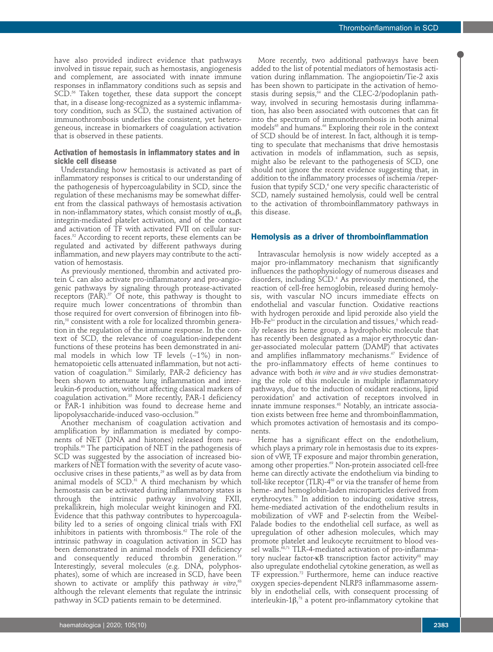have also provided indirect evidence that pathways involved in tissue repair, such as hemostasis, angiogenesis and complement, are associated with innate immune responses in inflammatory conditions such as sepsis and SCD.<sup>56</sup> Taken together, these data support the concept that, in a disease long-recognized as a systemic inflammatory condition, such as SCD, the sustained activation of immunothrombosis underlies the consistent, yet heterogeneous, increase in biomarkers of coagulation activation that is observed in these patients.

## **Activation of hemostasis in inflammatory states and in sickle cell disease**

Understanding how hemostasis is activated as part of inflammatory responses is critical to our understanding of the pathogenesis of hypercoagulability in SCD, since the regulation of these mechanisms may be somewhat different from the classical pathways of hemostasis activation in non-inflammatory states, which consist mostly of  $\alpha_{\text{lib}}\beta_3$ integrin-mediated platelet activation, and of the contact and activation of TF with activated FVII on cellular surfaces.52 According to recent reports, these elements can be regulated and activated by different pathways during inflammation, and new players may contribute to the activation of hemostasis.

As previously mentioned, thrombin and activated protein C can also activate pro-inflammatory and pro-angiogenic pathways by signaling through protease-activated receptors (PAR).<sup>57</sup> Of note, this pathway is thought to require much lower concentrations of thrombin than those required for overt conversion of fibrinogen into fibrin,58 consistent with a role for localized thrombin generation in the regulation of the immune response. In the context of SCD, the relevance of coagulation-independent functions of these proteins has been demonstrated in animal models in which low TF levels  $(-1%)$  in nonhematopoietic cells attenuated inflammation, but not activation of coagulation.<sup>31</sup> Similarly, PAR-2 deficiency has been shown to attenuate lung inflammation and interleukin-6 production, without affecting classical markers of coagulation activation.35 More recently, PAR-1 deficiency or PAR-1 inhibition was found to decrease heme and lipopolysaccharide-induced vaso-occlusion.<sup>59</sup>

Another mechanism of coagulation activation and amplification by inflammation is mediated by components of NET (DNA and histones) released from neutrophils.<sup>60</sup> The participation of NET in the pathogenesis of SCD was suggested by the association of increased biomarkers of NET formation with the severity of acute vasoocclusive crises in these patients, $^{29}$  as well as by data from animal models of SCD.<sup>61</sup> A third mechanism by which hemostasis can be activated during inflammatory states is through the intrinsic pathway involving FXII, prekallikrein, high molecular weight kininogen and FXI. Evidence that this pathway contributes to hypercoagulability led to a series of ongoing clinical trials with FXI inhibitors in patients with thrombosis.<sup>62</sup> The role of the intrinsic pathway in coagulation activation in SCD has been demonstrated in animal models of FXII deficiency and consequently reduced thrombin generation.<sup>19</sup> Interestingly, several molecules (e.g. DNA, polyphosphates), some of which are increased in SCD, have been shown to activate or amplify this pathway *in vitro*, 63 although the relevant elements that regulate the intrinsic pathway in SCD patients remain to be determined.

More recently, two additional pathways have been added to the list of potential mediators of hemostasis activation during inflammation. The angiopoietin/Tie-2 axis has been shown to participate in the activation of hemostasis during sepsis,<sup>64</sup> and the CLEC-2/podoplanin pathway, involved in securing hemostasis during inflammation, has also been associated with outcomes that can fit into the spectrum of immunothrombosis in both animal models<sup>65</sup> and humans.<sup>66</sup> Exploring their role in the context of SCD should be of interest. In fact, although it is tempting to speculate that mechanisms that drive hemostasis activation in models of inflammation, such as sepsis, might also be relevant to the pathogenesis of SCD, one should not ignore the recent evidence suggesting that, in addition to the inflammatory processes of ischemia /reperfusion that typify SCD,<sup>6</sup> one very specific characteristic of SCD, namely sustained hemolysis, could well be central to the activation of thromboinflammatory pathways in this disease.

#### **Hemolysis as a driver of thromboinflammation**

Intravascular hemolysis is now widely accepted as a major pro-inflammatory mechanism that significantly influences the pathophysiology of numerous diseases and disorders, including SCD.4 As previously mentioned, the reaction of cell-free hemoglobin, released during hemolysis, with vascular NO incurs immediate effects on endothelial and vascular function. Oxidative reactions with hydrogen peroxide and lipid peroxide also yield the Hb-Fe $3+$  product in the circulation and tissues, $5$  which readily releases its heme group, a hydrophobic molecule that has recently been designated as a major erythrocytic danger-associated molecular pattern (DAMP) that activates and amplifies inflammatory mechanisms.<sup>67</sup> Evidence of the pro-inflammatory effects of heme continues to advance with both *in vitro* and *in vivo* studies demonstrating the role of this molecule in multiple inflammatory pathways, due to the induction of oxidant reactions, lipid peroxidation5 and activation of receptors involved in innate immune responses.<sup>68</sup> Notably, an intricate association exists between free heme and thromboinflammation, which promotes activation of hemostasis and its components.

Heme has a significant effect on the endothelium, which plays a primary role in hemostasis due to its expression of vWF, TF exposure and major thrombin generation, among other properties.<sup>69</sup> Non-protein associated cell-free heme can directly activate the endothelium via binding to toll-like receptor (TLR)-4<sup>68</sup> or via the transfer of heme from heme- and hemoglobin-laden microparticles derived from erythrocytes.<sup>70</sup> In addition to inducing oxidative stress, heme-mediated activation of the endothelium results in mobilization of vWF and P-selectin from the Weibel-Palade bodies to the endothelial cell surface, as well as upregulation of other adhesion molecules, which may promote platelet and leukocyte recruitment to blood vessel walls.<sup>68,71</sup> TLR-4-mediated activation of pro-inflammatory nuclear factor-κB transcription factor activity<sup>68</sup> may also upregulate endothelial cytokine generation, as well as TF expression.72 Furthermore, heme can induce reactive oxygen species-dependent NLRP3 inflammasome assembly in endothelial cells, with consequent processing of interleukin-1 $\beta,^{\scriptscriptstyle\gamma\!\!3}$  a potent pro-inflammatory cytokine that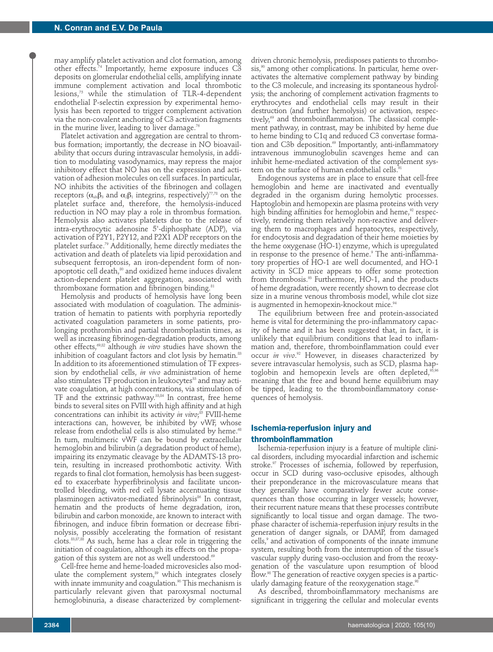may amplify platelet activation and clot formation, among other effects.<sup>74</sup> Importantly, heme exposure induces C3 deposits on glomerular endothelial cells, amplifying innate immune complement activation and local thrombotic lesions,75 while the stimulation of TLR-4-dependent endothelial P-selectin expression by experimental hemolysis has been reported to trigger complement activation via the non-covalent anchoring of C3 activation fragments in the murine liver, leading to liver damage.<sup>76</sup>

Platelet activation and aggregation are central to thrombus formation; importantly, the decrease in NO bioavailability that occurs during intravascular hemolysis, in addition to modulating vasodynamics, may repress the major inhibitory effect that NO has on the expression and activation of adhesion molecules on cell surfaces. In particular, NO inhibits the activities of the fibrinogen and collagen receptors ( $\alpha_{\text{lib}}\beta_3$  and  $\alpha_2\beta_1$  integrins, respectively)<sup>77,78</sup> on the platelet surface and, therefore, the hemolysis-induced reduction in NO may play a role in thrombus formation. Hemolysis also activates platelets due to the release of intra-erythrocytic adenosine 5'-diphosphate (ADP), via activation of P2Y1, P2Y12, and P2X1 ADP receptors on the platelet surface.79 Additionally, heme directly mediates the activation and death of platelets via lipid peroxidation and subsequent ferroptosis, an iron-dependent form of nonapoptotic cell death, $80$  and oxidized heme induces divalent action-dependent platelet aggregation, associated with thromboxane formation and fibrinogen binding.<sup>81</sup>

Hemolysis and products of hemolysis have long been associated with modulation of coagulation. The administration of hematin to patients with porphyria reportedly activated coagulation parameters in some patients, prolonging prothrombin and partial thromboplastin times, as well as increasing fibrinogen-degradation products, among other effects,69,82 although *in vitro* studies have shown the inhibition of coagulant factors and clot lysis by hematin.<sup>83</sup> In addition to its aforementioned stimulation of TF expression by endothelial cells, *in vivo* administration of heme also stimulates TF production in leukocytes<sup>33</sup> and may activate coagulation, at high concentrations, via stimulation of TF and the extrinsic pathway.33,84 In contrast, free heme binds to several sites on FVIII with high affinity and at high concentrations can inhibit its activity *in vitro*; <sup>85</sup> FVIII-heme interactions can, however, be inhibited by vWF, whose release from endothelial cells is also stimulated by heme.<sup>68</sup> In turn, multimeric vWF can be bound by extracellular hemoglobin and bilirubin (a degradation product of heme), impairing its enzymatic cleavage by the ADAMTS-13 protein, resulting in increased prothombotic activity. With regards to final clot formation, hemolysis has been suggested to exacerbate hyperfibrinolysis and facilitate uncontrolled bleeding, with red cell lysate accentuating tissue plasminogen activator-mediated fibrinolysis<sup>86</sup> In contrast, hematin and the products of heme degradation, iron, bilirubin and carbon monoxide, are known to interact with fibrinogen, and induce fibrin formation or decrease fibrinolysis, possibly accelerating the formation of resistant clots.83,87,88 As such, heme has a clear role in triggering the initiation of coagulation, although its effects on the propagation of this system are not as well understood.<sup>69</sup>

Cell-free heme and heme-loaded microvesicles also modulate the complement system,<sup>89</sup> which integrates closely with innate immunity and coagulation.<sup>90</sup> This mechanism is particularly relevant given that paroxysmal nocturnal hemoglobinuria, a disease characterized by complement-

driven chronic hemolysis, predisposes patients to thrombosis,<sup>90</sup> among other complications. In particular, heme overactivates the alternative complement pathway by binding to the C3 molecule, and increasing its spontaneous hydrolysis; the anchoring of complement activation fragments to erythrocytes and endothelial cells may result in their destruction (and further hemolysis) or activation, respectively,<sup>69</sup> and thromboinflammation. The classical complement pathway, in contrast, may be inhibited by heme due to heme binding to C1q and reduced C3 convertase formation and C3b deposition.<sup>69</sup> Importantly, anti-inflammatory intravenous immunoglobulin scavenges heme and can inhibit heme-mediated activation of the complement system on the surface of human endothelial cells.9

Endogenous systems are in place to ensure that cell-free hemoglobin and heme are inactivated and eventually degraded in the organism during hemolytic processes. Haptoglobin and hemopexin are plasma proteins with very high binding affinities for hemoglobin and heme,<sup>92</sup> respectively, rendering them relatively non-reactive and delivering them to macrophages and hepatocytes, respectively, for endocytosis and degradation of their heme moieties by the heme oxygenase (HO-1) enzyme, which is upregulated in response to the presence of heme.<sup>9</sup> The anti-inflammatory properties of HO-1 are well documented, and HO-1 activity in SCD mice appears to offer some protection from thrombosis.<sup>93</sup> Furthermore, HO-1, and the products of heme degradation, were recently shown to decrease clot size in a murine venous thrombosis model, while clot size is augmented in hemopexin-knockout mice.<sup>94</sup>

The equilibrium between free and protein-associated heme is vital for determining the pro-inflammatory capacity of heme and it has been suggested that, in fact, it is unlikely that equilibrium conditions that lead to inflammation and, therefore, thromboinflammation could ever occur *in vivo*. <sup>92</sup> However, in diseases characterized by severe intravascular hemolysis, such as SCD, plasma haptoglobin and hemopexin levels are often depleted,  $95,96$ meaning that the free and bound heme equilibrium may be tipped, leading to the thromboinflammatory consequences of hemolysis.

# **Ischemia-reperfusion injury and**

#### **thromboinflammation**

Ischemia-reperfusion injury is a feature of multiple clinical disorders, including myocardial infarction and ischemic stroke.<sup>97</sup> Processes of ischemia, followed by reperfusion, occur in SCD during vaso-occlusive episodes, although their preponderance in the microvasculature means that they generally have comparatively fewer acute consequences than those occurring in larger vessels; however, their recurrent nature means that these processes contribute significantly to local tissue and organ damage. The twophase character of ischemia-reperfusion injury results in the generation of danger signals, or DAMP, from damaged cells,<sup>9</sup> and activation of components of the innate immune system, resulting both from the interruption of the tissue's vascular supply during vaso-occlusion and from the reoxygenation of the vasculature upon resumption of blood flow.98 The generation of reactive oxygen species is a particularly damaging feature of the reoxygenation stage.<sup>9</sup>

As described, thromboinflammatory mechanisms are significant in triggering the cellular and molecular events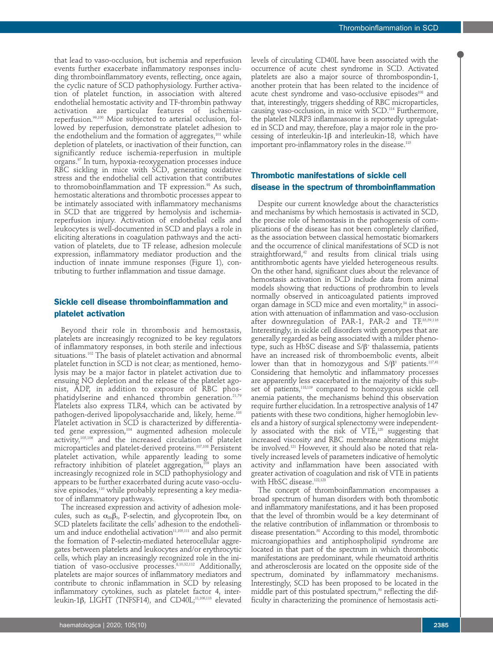that lead to vaso-occlusion, but ischemia and reperfusion events further exacerbate inflammatory responses including thromboinflammatory events, reflecting, once again, the cyclic nature of SCD pathophysiology. Further activation of platelet function, in association with altered endothelial hemostatic activity and TF-thrombin pathway activation are particular features of ischemiareperfusion.99,100 Mice subjected to arterial occlusion, followed by reperfusion, demonstrate platelet adhesion to the endothelium and the formation of aggregates, $101$  while depletion of platelets, or inactivation of their function, can significantly reduce ischemia-reperfusion in multiple organs.97 In turn, hypoxia-reoxygenation processes induce RBC sickling in mice with SCD, generating oxidative stress and the endothelial cell activation that contributes to thromoboinflammation and TF expression.<sup>98</sup> As such, hemostatic alterations and thrombotic processes appear to be intimately associated with inflammatory mechanisms in SCD that are triggered by hemolysis and ischemiareperfusion injury. Activation of endothelial cells and leukocytes is well-documented in SCD and plays a role in eliciting alterations in coagulation pathways and the activation of platelets, due to TF release, adhesion molecule expression, inflammatory mediator production and the induction of innate immune responses (Figure 1), contributing to further inflammation and tissue damage.

# **Sickle cell disease thromboinflammation and platelet activation**

Beyond their role in thrombosis and hemostasis, platelets are increasingly recognized to be key regulators of inflammatory responses, in both sterile and infectious situations.102 The basis of platelet activation and abnormal platelet function in SCD is not clear; as mentioned, hemolysis may be a major factor in platelet activation due to ensuing NO depletion and the release of the platelet agonist, ADP, in addition to exposure of RBC phosphatidylserine and enhanced thrombin generation.<sup>21,79</sup> Platelets also express TLR4, which can be activated by pathogen-derived lipopolysaccharide and, likely, heme.<sup>103</sup> Platelet activation in SCD is characterized by differentiated gene expression, $104$  augmented adhesion molecule activity,105,106 and the increased circulation of platelet microparticles and platelet-derived proteins.107,108 Persistent platelet activation, while apparently leading to some refractory inhibition of platelet aggregation,109 plays an increasingly recognized role in SCD pathophysiology and appears to be further exacerbated during acute vaso-occlusive episodes,<sup>110</sup> while probably representing a key mediator of inflammatory pathways.

The increased expression and activity of adhesion molecules, such as  $\alpha_{\text{IIb}}\beta_{3}$ , P-selectin, and glycoprotein Ib $\alpha$ , on SCD platelets facilitate the cells' adhesion to the endothelium and induce endothelial activation<sup>11,105,111</sup> and also permit the formation of P-selectin-mediated heterocellular aggregates between platelets and leukocytes and/or erythrocytic cells, which play an increasingly recognized role in the initiation of vaso-occlusive processes.8,10,32,112 Additionally, platelets are major sources of inflammatory mediators and contribute to chronic inflammation in SCD by releasing inflammatory cytokines, such as platelet factor 4, interleukin-1β, LIGHT (TNFSF14), and CD40L;<sup>11,106,113</sup> elevated

levels of circulating CD40L have been associated with the occurrence of acute chest syndrome in SCD. Activated platelets are also a major source of thrombospondin-1, another protein that has been related to the incidence of acute chest syndrome and vaso-occlusive episodes<sup>108</sup> and that, interestingly, triggers shedding of RBC microparticles, causing vaso-occlusion, in mice with SCD.114 Furthermore, the platelet NLRP3 inflammasome is reportedly upregulated in SCD and may, therefore, play a major role in the processing of interleukin-1β and interleukin-18, which have important pro-inflammatory roles in the disease.115

# **Thrombotic manifestations of sickle cell disease in the spectrum of thromboinflammation**

Despite our current knowledge about the characteristics and mechanisms by which hemostasis is activated in SCD, the precise role of hemostasis in the pathogenesis of complications of the disease has not been completely clarified, as the association between classical hemostatic biomarkers and the occurrence of clinical manifestations of SCD is not straightforward,<sup>42</sup> and results from clinical trials using antithrombotic agents have yielded heterogeneous results. On the other hand, significant clues about the relevance of hemostasis activation in SCD include data from animal models showing that reductions of prothrombin to levels normally observed in anticoagulated patients improved organ damage in SCD mice and even mortality,<sup>34</sup> in association with attenuation of inflammation and vaso-occlusion after downregulation of PAR-1, PAR-2 and TF.35,59,116 Interestingly, in sickle cell disorders with genotypes that are generally regarded as being associated with a milder phenotype, such as HbSC disease and S/β<sup>+</sup> thalassemia, patients have an increased risk of thromboembolic events, albeit lower than that in homozygous and  $S/\beta^0$  patients.<sup>117,41</sup> Considering that hemolytic and inflammatory processes are apparently less exacerbated in the majority of this subset of patients,<sup>118,119</sup> compared to homozygous sickle cell anemia patients, the mechanisms behind this observation require further elucidation. In a retrospective analysis of 147 patients with these two conditions, higher hemoglobin levels and a history of surgical splenectomy were independently associated with the risk of VTE,<sup>120</sup> suggesting that increased viscosity and RBC membrane alterations might be involved.121 However, it should also be noted that relatively increased levels of parameters indicative of hemolytic activity and inflammation have been associated with greater activation of coagulation and risk of VTE in patients with HbSC disease.<sup>122,123</sup>

The concept of thromboinflammation encompasses a broad spectrum of human disorders with both thrombotic and inflammatory manifestations, and it has been proposed that the level of thrombin would be a key determinant of the relative contribution of inflammation or thrombosis to disease presentation.<sup>50</sup> According to this model, thrombotic microangiopathies and antiphospholipid syndrome are located in that part of the spectrum in which thrombotic manifestations are predominant, while rheumatoid arthritis and atherosclerosis are located on the opposite side of the spectrum, dominated by inflammatory mechanisms. Interestingly, SCD has been proposed to be located in the middle part of this postulated spectrum, $50$  reflecting the difficulty in characterizing the prominence of hemostasis acti-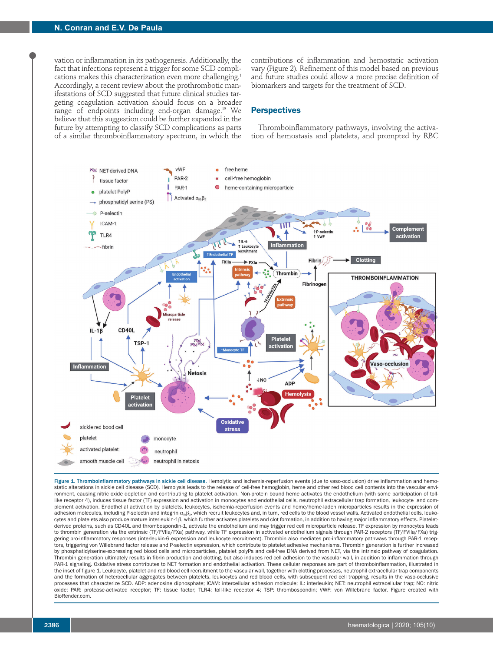vation or inflammation in its pathogenesis. Additionally, the fact that infections represent a trigger for some SCD complications makes this characterization even more challenging.<sup>1</sup> Accordingly, a recent review about the prothrombotic manifestations of SCD suggested that future clinical studies targeting coagulation activation should focus on a broader range of endpoints including end-organ damage.19 We believe that this suggestion could be further expanded in the future by attempting to classify SCD complications as parts of a similar thromboinflammatory spectrum, in which the

contributions of inflammation and hemostatic activation vary (Figure 2). Refinement of this model based on previous and future studies could allow a more precise definition of biomarkers and targets for the treatment of SCD.

# **Perspectives**

Thromboinflammatory pathways, involving the activation of hemostasis and platelets, and prompted by RBC



Figure 1. Thromboinflammatory pathways in sickle cell disease. Hemolytic and ischemia-reperfusion events (due to vaso-occlusion) drive inflammation and hemostatic alterations in sickle cell disease (SCD). Hemolysis leads to the release of cell-free hemoglobin, heme and other red blood cell contents into the vascular environment, causing nitric oxide depletion and contributing to platelet activation. Non-protein bound heme activates the endothelium (with some participation of tolllike receptor 4), induces tissue factor (TF) expression and activation in monocytes and endothelial cells, neutrophil extracellular trap formation, leukocyte and complement activation. Endothelial activation by platelets, leukocytes, ischemia-reperfusion events and heme/heme-laden microparticles results in the expression of adhesion molecules, including P-selectin and integrin α<sub>iii</sub>β<sub>3</sub>, which recruit leukocytes and, in turn, red cells to the blood vessel walls. Activated endothelial cells, leukocytes and platelets also produce mature interleukin-1β, which further activates platelets and clot formation, in addition to having major inflammatory effects. Plateletderived proteins, such as CD40L and thrombospondin-1, activate the endothelium and may trigger red cell microparticle release. TF expression by monocytes leads to thrombin generation via the extrinsic (TF/FVIIa/FXa) pathway, while TF expression in activated endothelium signals through PAR-2 receptors (TF/FVIIa/FXa) triggering pro-inflammatory responses (interleukin-6 expression and leukocyte recruitment). Thrombin also mediates pro-inflammatory pathways through PAR-1 receptors, triggering von Willebrand factor release and P-selectin expression, which contribute to platelet adhesive mechanisms. Thrombin generation is further increased by phosphatidylserine-expressing red blood cells and microparticles, platelet polyPs and cell-free DNA derived from NET, via the intrinsic pathway of coagulation. Thrombin generation ultimately results in fibrin production and clotting, but also induces red cell adhesion to the vascular wall, in addition to inflammation through PAR-1 signaling. Oxidative stress contributes to NET formation and endothelial activation. These cellular responses are part of thromboinflammation, illustrated in the inset of figure 1. Leukocyte, platelet and red blood cell recruitment to the vascular wall, together with clotting processes, neutrophil extracellular trap components and the formation of heterocellular aggregates between platelets, leukocytes and red blood cells, with subsequent red cell trapping, results in the vaso-occlusive processes that characterize SCD. ADP: adenosine diphosphate; ICAM: intercellular adhesion molecule; IL: interleukin; NET: neutrophil extracellular trap; NO: nitric oxide; PAR: protease-activated receptor; TF: tissue factor; TLR4: toll-like receptor 4; TSP: thrombospondin; VWF: von Willebrand factor. Figure created with BioRender.com.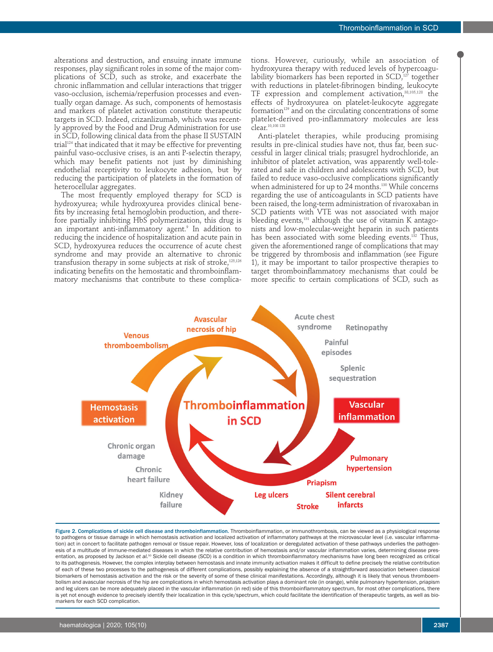alterations and destruction, and ensuing innate immune responses, play significant roles in some of the major complications of SCD, such as stroke, and exacerbate the chronic inflammation and cellular interactions that trigger vaso-occlusion, ischemia/reperfusion processes and eventually organ damage. As such, components of hemostasis and markers of platelet activation constitute therapeutic targets in SCD. Indeed, crizanlizumab, which was recently approved by the Food and Drug Administration for use in SCD, following clinical data from the phase II SUSTAIN trial<sup>124</sup> that indicated that it may be effective for preventing painful vaso-occlusive crises, is an anti P-selectin therapy, which may benefit patients not just by diminishing endothelial receptivity to leukocyte adhesion, but by reducing the participation of platelets in the formation of heterocellular aggregates.

The most frequently employed therapy for SCD is hydroxyurea; while hydroxyurea provides clinical benefits by increasing fetal hemoglobin production, and therefore partially inhibiting HbS polymerization, this drug is an important anti-inflammatory agent.<sup>9</sup> In addition to reducing the incidence of hospitalization and acute pain in SCD, hydroxyurea reduces the occurrence of acute chest syndrome and may provide an alternative to chronic transfusion therapy in some subjects at risk of stroke,125,126 indicating benefits on the hemostatic and thromboinflammatory mechanisms that contribute to these complications. However, curiously, while an association of hydroxyurea therapy with reduced levels of hypercoagulability biomarkers has been reported in  $SCD<sub>127</sub>$  together with reductions in platelet-fibrinogen binding, leukocyte TF expression and complement activation,38,105,128 the effects of hydroxyurea on platelet-leukocyte aggregate formation<sup>129</sup> and on the circulating concentrations of some platelet-derived pro-inflammatory molecules are less clear.10,108 128

Anti-platelet therapies, while producing promising results in pre-clinical studies have not, thus far, been successful in larger clinical trials; prasugrel hydrochloride, an inhibitor of platelet activation, was apparently well-tolerated and safe in children and adolescents with SCD, but failed to reduce vaso-occlusive complications significantly when administered for up to 24 months.<sup>130</sup> While concerns regarding the use of anticoagulants in SCD patients have been raised, the long-term administration of rivaroxaban in SCD patients with VTE was not associated with major bleeding events, $131$  although the use of vitamin K antagonists and low-molecular-weight heparin in such patients has been associated with some bleeding events.<sup>132</sup> Thus, given the aforementioned range of complications that may be triggered by thrombosis and inflammation (see Figure 1), it may be important to tailor prospective therapies to target thromboinflammatory mechanisms that could be more specific to certain complications of SCD, such as



Figure 2. Complications of sickle cell disease and thromboinflammation. Thromboinflammation, or immunothrombosis, can be viewed as a physiological response to pathogens or tissue damage in which hemostasis activation and localized activation of inflammatory pathways at the microvascular level (i.e. vascular inflammation) act in concert to facilitate pathogen removal or tissue repair. However, loss of localization or deregulated activation of these pathways underlies the pathogenesis of a multitude of immune-mediated diseases in which the relative contribution of hemostasis and/or vascular inflammation varies, determining disease presentation, as proposed by Jackson et al.<sup>50</sup> Sickle cell disease (SCD) is a condition in which thromboinflammatory mechanisms have long been recognized as critical to its pathogenesis. However, the complex interplay between hemostasis and innate immunity activation makes it difficult to define precisely the relative contribution of each of these two processes to the pathogenesis of different complications, possibly explaining the absence of a straightforward association between classical biomarkers of hemostasis activation and the risk or the severity of some of these clinical manifestations. Accordingly, although it is likely that venous thromboembolism and avascular necrosis of the hip are complications in which hemostasis activation plays a dominant role (in orange), while pulmonary hypertension, priapism and leg ulcers can be more adequately placed in the vascular inflammation (in red) side of this thromboinflammatory spectrum, for most other complications, there is yet not enough evidence to precisely identify their localization in this cycle/spectrum, which could facilitate the identification of therapeutic targets, as well as biomarkers for each SCD complication.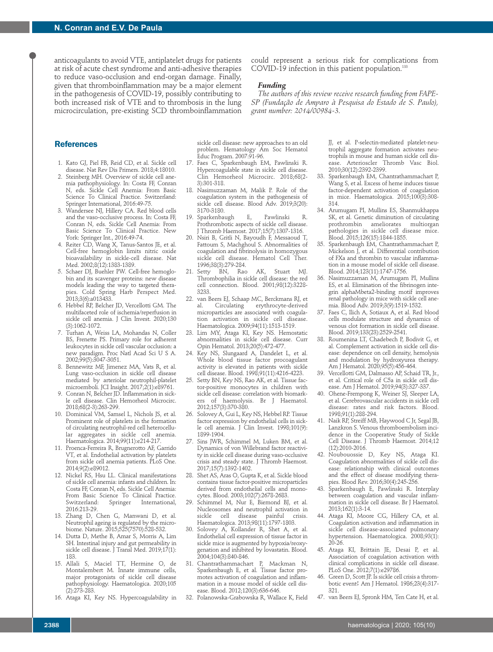anticoagulants to avoid VTE, antiplatelet drugs for patients at risk of acute chest syndrome and anti-adhesive therapies to reduce vaso-occlusion and end-organ damage. Finally, given that thromboinflammation may be a major element in the pathogenesis of COVID-19, possibly contributing to both increased risk of VTE and to thrombosis in the lung microcirculation, pre-existing SCD thromboinflammation could represent a serious risk for complications from COVID-19 infection in this patient population.<sup>133</sup>

#### *Funding*

*The authors of this review receive research funding from FAPE-SP (Fundação de Amparo à Pesquisa do Estado de S. Paulo), grant number: 2014/00984-3.*

# **References**

- 1. Kato GJ, Piel FB, Reid CD, et al. Sickle cell disease. Nat Rev Dis Primers. 2018;4:18010.
- 2. Steinberg MH. Overview of sickle cell anemia pathophysiology. In: Costa FF, Conran N, eds. Sickle Cell Anemia: From Basic Science To Clinical Practice. Switzerland: Springer International, 2016:49-75.
- 3. Wandersee NJ, Hillery CA. Red blood cells and the vaso-occlusive process. In: Costa FF, Conran N, eds. Sickle Cell Anemia: From Basic Science To Clinical Practice. New York: Springer Int., 2016:49-74.
- 4. Reiter CD, Wang X, Tanus-Santos JE, et al. Cell-free hemoglobin limits nitric oxide bioavailability in sickle-cell disease. Nat Med. 2002;8(12):1383-1389.
- 5. Schaer DJ, Buehler PW. Cell-free hemoglobin and its scavenger proteins: new disease models leading the way to targeted therapies. Cold Spring Harb Perspect Med. 2013;3(6):a013433.
- 6. Hebbel RP, Belcher JD, Vercellotti GM. The multifaceted role of ischemia/reperfusion in sickle cell anemia. J Clin Invest. 2020;130 (3):1062-1072.
- 7. Turhan A, Weiss LA, Mohandas N, Coller BS, Frenette PS. Primary role for adherent leukocytes in sickle cell vascular occlusion: a new paradigm. Proc Natl Acad Sci U S A. 2002;99(5):3047-3051.
- 8. Bennewitz MF, Jimenez MA, Vats R, et al. Lung vaso-occlusion in sickle cell disease mediated by arteriolar neutrophil-platelet microemboli. JCI Insight. 2017;2(1):e89761.
- 9. Conran N, Belcher JD. Inflammation in sickle cell disease. Clin Hemorheol Microcirc. 2018;68(2-3):263-299.
- 10. Dominical VM, Samsel L, Nichols JS, et al. Prominent role of platelets in the formation of circulating neutrophil-red cell heterocellular aggregates in sickle cell anemia. Haematologica. 2014;99(11):e214-217.
- 11. Proenca-Ferreira R, Brugnerotto AF, Garrido VT, et al. Endothelial activation by platelets from sickle cell anemia patients. PLoS One. 2014;9(2):e89012.
- 12. Nickel RS, Hsu LL. Clinical manifestations of sickle cell anemia: infants and children. In: Costa FF, Conran N, eds. Sickle Cell Anemia: From Basic Science To Clinical Practice.<br>Switzerland: Springer International. Springer International, 2016:213-29.
- 13. Zhang D, Chen G, Manwani D, et al. Neutrophil ageing is regulated by the microbiome. Nature. 2015;525(7570):528-532.
- 14. Dutta D, Methe B, Amar S, Morris A, Lim SH. Intestinal injury and gut permeability in sickle cell disease. J Transl Med. 2019;17(1): 183.
- 15. Allali S, Maciel TT, Hermine O, de Montalembert M. Innate immune cells, major protagonists of sickle cell disease pathophysiology. Haematologica. 2020;105 (2):273-283.
- 16. Ataga KI, Key NS. Hypercoagulability in

sickle cell disease: new approaches to an old problem. Hematology Am Soc Hematol Educ Program. 2007:91-96.

- 17. Faes C, Sparkenbaugh EM, Pawlinski R. Hypercoagulable state in sickle cell disease. Clin Hemorheol Microcirc. 2018;68(2- 3):301-318.
- 18. Nasimuzzaman M, Malik P. Role of the coagulation system in the pathogenesis of sickle cell disease. Blood Adv. 2019;3(20): 3170-3180.
- 19. Sparkenbaugh E, Pawlinski R. Prothrombotic aspects of sickle cell disease. J Thromb Haemost. 2017;15(7):1307-1316.
- 20. Nsiri B, Gritli N, Bayoudh F, Messaoud T, Fattoum S, Machghoul S. Abnormalities of coagulation and fibrinolysis in homozygous sickle cell disease. Hematol Cell Ther. 1996;38(3):279-284.
- 21. Setty BN, Rao AK, Stuart MJ. Thrombophilia in sickle cell disease: the red cell connection. Blood. 2001;98(12):3228- 3233.
- 22. van Beers EJ, Schaap MC, Berckmans RJ, et al. Circulating erythrocyte-derived microparticles are associated with coagulation activation in sickle cell disease. Haematologica. 2009;94(11):1513-1519.
- 23. Lim MY, Ataga KI, Key NS. Hemostatic abnormalities in sickle cell disease. Curr Opin Hematol. 2013;20(5):472-477.
- 24. Key NS, Slungaard A, Dandelet L, et al. Whole blood tissue factor procoagulant activity is elevated in patients with sickle cell disease. Blood. 1998;91(11):4216-4223.
- 25. Setty BN, Key NS, Rao AK, et al. Tissue factor-positive monocytes in children with sickle cell disease: correlation with biomarkers of haemolysis. Br J Haematol. 2012;157(3):370-380.
- 26. Solovey A, Gui L, Key NS, Hebbel RP. Tissue factor expression by endothelial cells in sickle cell anemia. J Clin Invest. 1998;101(9): 1899-1904.
- 27. Sins JWR, Schimmel M, Luken BM, et al. Dynamics of von Willebrand factor reactivity in sickle cell disease during vaso-occlusive crisis and steady state. J Thromb Haemost. 2017;15(7):1392-1402.
- 28. Shet AS, Aras O, Gupta K, et al. Sickle blood contains tissue factor-positive microparticles derived from endothelial cells and monocytes. Blood. 2003;102(7):2678-2683.
- 29. Schimmel M, Nur E, Biemond BJ, et al. Nucleosomes and neutrophil activation in sickle cell disease painful crisis. Haematologica. 2013;98(11):1797-1803.
- 30. Solovey A, Kollander R, Shet A, et al. Endothelial cell expression of tissue factor in sickle mice is augmented by hypoxia/reoxygenation and inhibited by lovastatin. Blood. 2004;104(3):840-846.
- 31. Chantrathammachart P, Mackman N, Sparkenbaugh E, et al. Tissue factor promotes activation of coagulation and inflammation in a mouse model of sickle cell disease. Blood. 2012;120(3):636-646.
- 32. Polanowska-Grabowska R, Wallace K, Field

JJ, et al. P-selectin-mediated platelet-neutrophil aggregate formation activates neutrophils in mouse and human sickle cell disease. Arterioscler Thromb Vasc Biol. 2010;30(12):2392-2399.

- 33. Sparkenbaugh EM, Chantrathammachart P, Wang S, et al. Excess of heme induces tissue factor-dependent activation of coagulation in mice. Haematologica. 2015;100(3):308- 314.
- 34. Arumugam PI, Mullins ES, Shanmukhappa SK, et al. Genetic diminution of circulating prothrombin ameliorates multiorgan pathologies in sickle cell disease mice. Blood. 2015;126(15):1844-1855.
- 35. Sparkenbaugh EM, Chantrathammachart P, Mickelson J, et al. Differential contribution of FXa and thrombin to vascular inflammation in a mouse model of sickle cell disease. Blood. 2014;123(11):1747-1756.
- 36. Nasimuzzaman M, Arumugam PI, Mullins ES, et al. Elimination of the fibrinogen integrin alphaMbeta2-binding motif improves renal pathology in mice with sickle cell anemia. Blood Adv. 2019;3(9):1519-1532.
- 37. Faes C, Ilich A, Sotiaux A, et al. Red blood cells modulate structure and dynamics of venous clot formation in sickle cell disease. Blood. 2019;133(23):2529-2541.
- 38. Roumenina LT, Chadebech P, Bodivit G, et al. Complement activation in sickle cell disease: dependence on cell density, hemolysis and modulation by hydroxyurea therapy. Am J Hematol. 2020;95(5):456-464.
- 39. Vercellotti GM, Dalmasso AP, Schaid TR, Jr., et al. Critical role of C5a in sickle cell disease. Am J Hematol. 2019;94(3):327-337.
- 40. Ohene-Frempong K, Weiner SJ, Sleeper LA, et al. Cerebrovascular accidents in sickle cell disease: rates and risk factors. Blood. 1998;91(1):288-294.
- 41. Naik RP, Streiff MB, Haywood C Jr, Segal JB, Lanzkron S. Venous thromboembolism incidence in the Cooperative Study of Sickle Cell Disease. J Thromb Haemost. 2014;12 (12):2010-2016.
- 42. Noubouossie D, Key NS, Ataga KI. Coagulation abnormalities of sickle cell disease: relationship with clinical outcomes and the effect of disease modifying therapies. Blood Rev. 2016;30(4):245-256.
- 43. Sparkenbaugh E, Pawlinski R. Interplay between coagulation and vascular inflammation in sickle cell disease. Br J Haematol. 2013;162(1):3-14.
- 44. Ataga KI, Moore CG, Hillery CA, et al. Coagulation activation and inflammation in sickle cell disease-associated pulmonary hypertension. Haematologica. 2008;93(1): 20-26.
- 45. Ataga KI, Brittain JE, Desai P, et al. Association of coagulation activation with clinical complications in sickle cell disease. PLoS One. 2012;7(1):e29786.
- 46. Green D, Scott JP. Is sickle cell crisis a thrombotic event? Am J Hematol. 1986;23(4):317- 321.
- 47. van Beers EJ, Spronk HM, Ten Cate H, et al.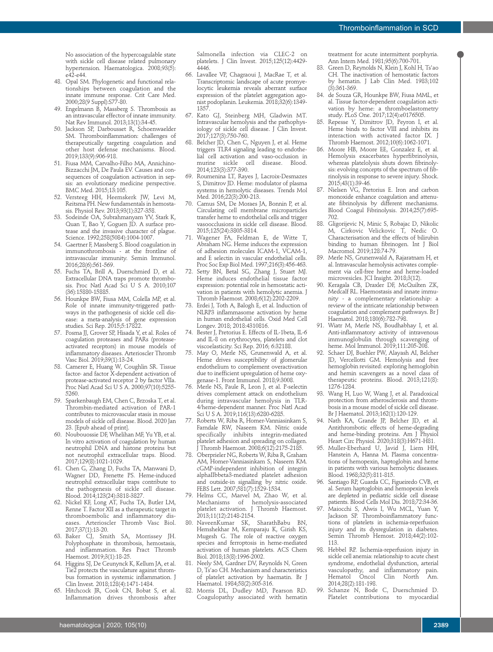No association of the hypercoagulable state with sickle cell disease related pulmonary hypertension. Haematologica. 2008;93(5): e42-e44.

- 48. Opal SM. Phylogenetic and functional relationships between coagulation and the innate immune response. Crit Care Med. 2000;28(9 Suppl):S77-80.
- 49. Engelmann B, Massberg S. Thrombosis as an intravascular effector of innate immunity. Nat Rev Immunol. 2013;13(1):34-45.
- 50. Jackson SP, Darbousset R, Schoenwaelder SM. Thromboinflammation: challenges of therapeutically targeting coagulation and other host defense mechanisms. Blood. 2019;133(9):906-918.
- 51. Fiusa MM, Carvalho-Filho MA, Annichino-Bizzacchi JM, De Paula EV. Causes and consequences of coagulation activation in sepsis: an evolutionary medicine perspective. BMC Med. 2015;13:105.
- 52. Versteeg HH, Heemskerk JW, Levi M, Reitsma PH. New fundamentals in hemostasis. Physiol Rev. 2013;93(1):327-358.
- 53. Sodeinde OA, Subrahmanyam YV, Stark K, Quan T, Bao Y, Goguen JD. A surface protease and the invasive character of plague. Science. 1992;258(5084):1004-1007.
- 54. Gaertner F, Massberg S. Blood coagulation in immunothrombosis - at the frontline of intravascular immunity. Semin Immunol. 2016;28(6):561-569.
- 55. Fuchs TA, Brill A, Duerschmied D, et al. Extracellular DNA traps promote thrombosis. Proc Natl Acad Sci U S A. 2010;107 (36):15880-15885.
- 56. Hounkpe BW, Fiusa MM, Colella MP, et al. Role of innate immunity-triggered pathways in the pathogenesis of sickle cell disease: a meta-analysis of gene expression studies. Sci Rep. 2015;5:17822.
- 57. Posma JJ, Grover SP, Hisada Y, et al. Roles of coagulation proteases and PARs (proteaseactivated receptors) in mouse models of inflammatory diseases. Arterioscler Thromb Vasc Biol. 2019;39(1):13-24.
- 58. Camerer E, Huang W, Coughlin SR. Tissue factor- and factor X-dependent activation of protease-activated receptor 2 by factor VIIa. Proc Natl Acad Sci U S A. 2000;97(10):5255- 5260.
- 59. Sparkenbaugh EM, Chen C, Brzoska T, et al. Thrombin-mediated activation of PAR-1 contributes to microvascular stasis in mouse models of sickle cell disease. Blood. 2020 Jan 23. [Epub ahead of print].
- 60. Noubouossie DF, Whelihan MF, Yu YB, et al. In vitro activation of coagulation by human neutrophil DNA and histone proteins but not neutrophil extracellular traps. Blood. 2017;129(8):1021-1029.
- 61. Chen G, Zhang D, Fuchs TA, Manwani D, Wagner DD, Frenette PS. Heme-induced neutrophil extracellular traps contribute to the pathogenesis of sickle cell disease. Blood. 2014;123(24):3818-3827.
- 62. Nickel KF, Long AT, Fuchs TA, Butler LM, Renne T. Factor XII as a therapeutic target in thromboembolic and inflammatory diseases. Arterioscler Thromb Vasc Biol. 2017;37(1):13-20.
- 63. Baker CJ, Smith SA, Morrissey JH. Polyphosphate in thrombosis, hemostasis, and inflammation. Res Pract Thromb Haemost. 2019;3(1):18-25.
- 64. Higgins SJ, De Ceunynck K, Kellum JA, et al. Tie2 protects the vasculature against thrombus formation in systemic inflammation. J Clin Invest. 2018;128(4):1471-1484.
- 65. Hitchcock JR, Cook CN, Bobat S, et al. Inflammation drives thrombosis after

Salmonella infection via CLEC-2 on platelets. J Clin Invest. 2015;125(12):4429- 4446.

- 66. Lavallee VP, Chagraoui J, MacRae T, et al. Transcriptomic landscape of acute promyelocytic leukemia reveals aberrant surface expression of the platelet aggregation agonist podoplanin. Leukemia. 2018;32(6):1349- 1357.
- 67. Kato GJ, Steinberg MH, Gladwin MT. Intravascular hemolysis and the pathophysiology of sickle cell disease. J Clin Invest. 2017;127(3):750-760.
- 68. Belcher JD, Chen C, Nguyen J, et al. Heme triggers TLR4 signaling leading to endothelial cell activation and vaso-occlusion in murine sickle cell disease. Blood. 2014;123(3):377-390.
- 69. Roumenina LT, Rayes J, Lacroix-Desmazes S, Dimitrov JD. Heme: modulator of plasma systems in hemolytic diseases. Trends Mol Med. 2016;22(3):200-213.
- 70. Camus SM, De Moraes JA, Bonnin P, et al. Circulating cell membrane microparticles transfer heme to endothelial cells and trigger vasoocclusions in sickle cell disease. Blood. 2015;125(24):3805-3814.
- 71. Wagener FA, Feldman E, de Witte T, Abraham NG. Heme induces the expression of adhesion molecules ICAM-1, VCAM-1, and E selectin in vascular endothelial cells. Proc Soc Exp Biol Med. 1997;216(3):456-463.
- 72. Setty BN, Betal SG, Zhang J, Stuart MJ. Heme induces endothelial tissue factor expression: potential role in hemostatic activation in patients with hemolytic anemia. J Thromb Haemost. 2008;6(12):2202-2209.
- 73. Erdei J, Toth A, Balogh E, et al. Induction of NLRP3 inflammasome activation by heme in human endothelial cells. Oxid Med Cell Longev. 2018; 2018:4310816.
- 74. Bester J, Pretorius E. Effects of IL-1beta, IL-6 and IL-8 on erythrocytes, platelets and clot viscoelasticity. Sci Rep. 2016; 6:32188.
- 75. May O, Merle NS, Grunenwald A, et al. Heme drives susceptibility of glomerular endothelium to complement overactivation due to inefficient upregulation of heme oxygenase-1. Front Immunol. 2018;9:3008.
- 76. Merle NS, Paule R, Leon J, et al. P-selectin drives complement attack on endothelium during intravascular hemolysis in TLR-4/heme-dependent manner. Proc Natl Acad Sci U S A. 2019;116(13):6280-6285.
- 77. Roberts W, Riba R, Homer-Vanniasinkam S, Farndale RW, Naseem KM. Nitric oxide specifically inhibits integrin-mediated platelet adhesion and spreading on collagen. J Thromb Haemost. 2008;6(12):2175-2185.
- 78. Oberprieler NG, Roberts W, Riba R, Graham AM, Homer-Vanniasinkam S, Naseem KM. cGMP-independent inhibition of integrin alphaIIbbeta3-mediated platelet adhesion and outside-in signalling by nitric oxide. FEBS Lett. 2007;581(7):1529-1534.
- 79. Helms CC, Marvel M, Zhao W, et al. Mechanisms of hemolysis-associated platelet activation. J Thromb Haemost. 2013;11(12):2148-2154.
- 80. NaveenKumar SK, SharathBabu BN, Hemshekhar M, Kemparaju K, Girish KS, Mugesh G. The role of reactive oxygen species and ferroptosis in heme-mediated activation of human platelets. ACS Chem Biol. 2018;13(8):1996-2002.
- 81. Neely SM, Gardner DV, Reynolds N, Green D, Ts'ao CH. Mechanism and characteristics of platelet activation by haematin. Br J Haematol. 1984;58(2):305-316.
- 82. Morris DL, Dudley MD, Pearson RD. Coagulopathy associated with hematin

treatment for acute intermittent porphyria. Ann Intern Med. 1981;95(6):700-701.

- 83. Green D, Reynolds N, Klein J, Kohl H, Ts'ao CH. The inactivation of hemostatic factors by hematin. J Lab Clin Med. 1983;102 (3):361-369.
- 84. de Souza GR, Hounkpe BW, Fiusa MML, et al. Tissue factor-dependent coagulation activation by heme: a thromboelastometry study. PLoS One. 2017;12(4):e0176505.
- 85. Repesse Y, Dimitrov JD, Peyron I, et al. Heme binds to factor VIII and inhibits its interaction with activated factor IX. J Thromb Haemost. 2012;10(6):1062-1071.
- 86. Moore HB, Moore EE, Gonzalez E, et al. Hemolysis exacerbates hyperfibrinolysis, whereas platelolysis shuts down fibrinolysis: evolving concepts of the spectrum of fibrinolysis in response to severe injury. Shock. 2015;43(1):39-46.
- 87. Nielsen VG, Pretorius E. Iron and carbon monoxide enhance coagulation and attenuate fibrinolysis by different mechanisms. Blood Coagul Fibrinolysis. 2014;25(7):695- 702.
- Gligorijevic N, Minic S, Robajac D, Nikolic M, Cirkovic Velickovic T, Nedic O. Characterisation and the effects of bilirubin binding to human fibrinogen. Int J Biol Macromol. 2019;128:74-79.
- 89. Merle NS, Grunenwald A, Rajaratnam H, et al. Intravascular hemolysis activates complement via cell-free heme and heme-loaded microvesicles. JCI Insight. 2018;3(12).
- 90. Keragala CB, Draxler DF, McQuilten ZK, Medcalf RL. Haemostasis and innate immunity - a complementary relationship: a review of the intricate relationship between coagulation and complement pathways. Br J Haematol. 2018;180(6):782-798.
- 91. Wiatr M, Merle NS, Boudhabhay I, et al. Anti-inflammatory activity of intravenous immunoglobulin through scavenging of heme. Mol Immunol. 2019;111:205-208.
- 92. Schaer DJ, Buehler PW, Alayash AI, Belcher JD, Vercellotti GM. Hemolysis and free hemoglobin revisited: exploring hemoglobin and hemin scavengers as a novel class of therapeutic proteins. Blood. 2013;121(8): 1276-1284.
- 93. Wang H, Luo W, Wang J, et al. Paradoxical protection from atherosclerosis and thrombosis in a mouse model of sickle cell disease. Br J Haematol. 2013;162(1):120-129.
- 94. Nath KA, Grande JP, Belcher JD, et al. Antithrombotic effects of heme-degrading and heme-binding proteins. Am J Physiol Heart Circ Physiol. 2020;318(3):H671-H81.
- 95. Muller-Eberhard U, Javid J, Liem HH, Hanstein A, Hanna M. Plasma concentrations of hemopexin, haptoglobin and heme in patients with various hemolytic diseases. Blood. 1968;32(5):811-815.
- 96. Santiago RP, Guarda CC, Figueiredo CVB, et al. Serum haptoglobin and hemopexin levels are depleted in pediatric sickle cell disease patients. Blood Cells Mol Dis. 2018;72:34-36.
- 97. Maiocchi S, Alwis I, Wu MCL, Yuan Y, Jackson SP. Thromboinflammatory functions of platelets in ischemia-reperfusion injury and its dysregulation in diabetes. Semin Thromb Hemost. 2018;44(2):102- 113.
- 98. Hebbel RP. Ischemia-reperfusion injury in sickle cell anemia: relationship to acute chest syndrome, endothelial dysfunction, arterial vasculopathy, and inflammatory pain. Hematol Oncol Clin North Am. 2014;28(2):181-198.
- 99. Schanze N, Bode C, Duerschmied D. Platelet contributions to myocardial